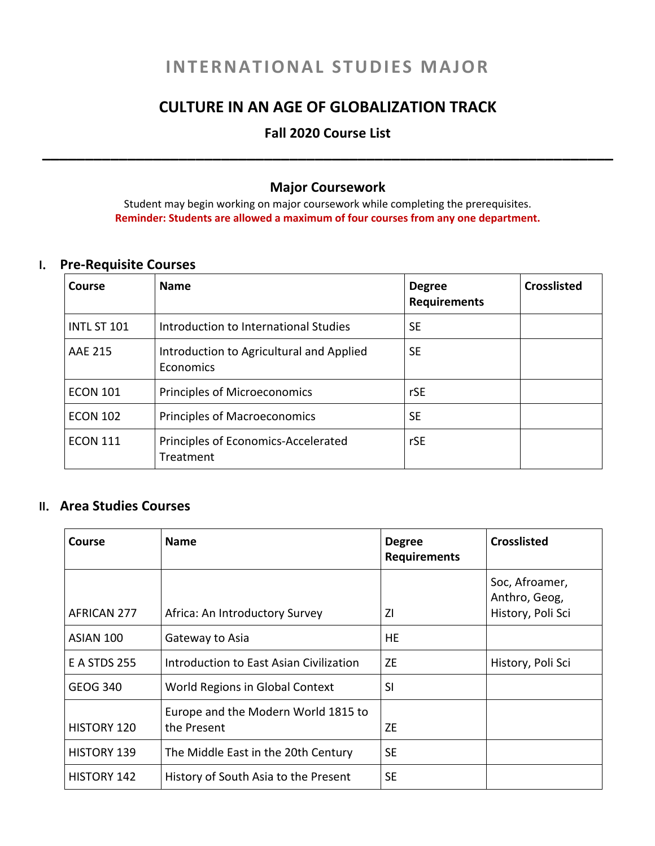# **INTERNATIONAL STUDIES MAJOR**

## **CULTURE IN AN AGE OF GLOBALIZATION TRACK**

# **Fall 2020 Course List \_\_\_\_\_\_\_\_\_\_\_\_\_\_\_\_\_\_\_\_\_\_\_\_\_\_\_\_\_\_\_\_\_\_\_\_\_\_\_\_\_\_\_\_\_\_\_\_\_\_\_\_\_\_\_\_\_\_\_\_\_\_\_\_\_\_\_**

#### **Major Coursework**

Student may begin working on major coursework while completing the prerequisites. **Reminder: Students are allowed a maximum of four courses from any one department.**

#### **I. Pre-Requisite Courses**

| Course             | <b>Name</b>                                           | <b>Degree</b><br><b>Requirements</b> | <b>Crosslisted</b> |
|--------------------|-------------------------------------------------------|--------------------------------------|--------------------|
| <b>INTL ST 101</b> | Introduction to International Studies                 | <b>SE</b>                            |                    |
| <b>AAE 215</b>     | Introduction to Agricultural and Applied<br>Economics | <b>SE</b>                            |                    |
| <b>ECON 101</b>    | Principles of Microeconomics                          | <b>rSE</b>                           |                    |
| <b>ECON 102</b>    | <b>Principles of Macroeconomics</b>                   | <b>SE</b>                            |                    |
| <b>ECON 111</b>    | Principles of Economics-Accelerated<br>Treatment      | rSE                                  |                    |

### **II. Area Studies Courses**

| Course              | <b>Name</b>                                        | <b>Degree</b><br><b>Requirements</b> | <b>Crosslisted</b>                                   |
|---------------------|----------------------------------------------------|--------------------------------------|------------------------------------------------------|
| AFRICAN 277         | Africa: An Introductory Survey                     | ΖI                                   | Soc, Afroamer,<br>Anthro, Geog,<br>History, Poli Sci |
| ASIAN 100           | Gateway to Asia                                    | HE.                                  |                                                      |
| <b>E A STDS 255</b> | Introduction to East Asian Civilization            | ZE                                   | History, Poli Sci                                    |
| <b>GEOG 340</b>     | World Regions in Global Context                    | SI                                   |                                                      |
| <b>HISTORY 120</b>  | Europe and the Modern World 1815 to<br>the Present | ZE                                   |                                                      |
| <b>HISTORY 139</b>  | The Middle East in the 20th Century                | <b>SE</b>                            |                                                      |
| <b>HISTORY 142</b>  | History of South Asia to the Present               | <b>SE</b>                            |                                                      |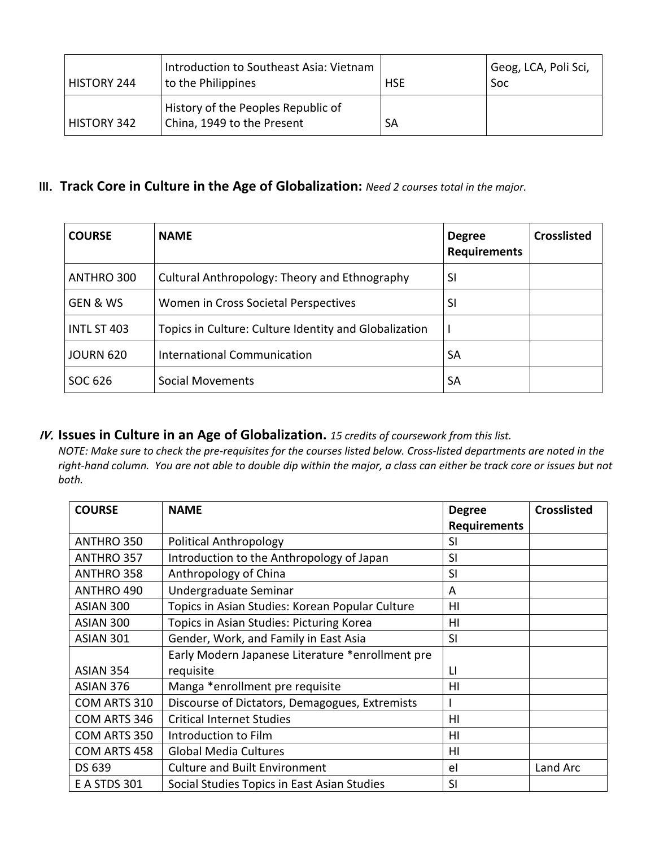| HISTORY 244        | Introduction to Southeast Asia: Vietnam<br>to the Philippines    | <b>HSE</b> | Geog, LCA, Poli Sci,<br>Soc |
|--------------------|------------------------------------------------------------------|------------|-----------------------------|
| <b>HISTORY 342</b> | History of the Peoples Republic of<br>China, 1949 to the Present | SA         |                             |

### **III. Track Core in Culture in the Age of Globalization:** *Need 2 courses total in the major.*

| <b>COURSE</b>       | <b>NAME</b>                                           | <b>Degree</b><br><b>Requirements</b> | <b>Crosslisted</b> |
|---------------------|-------------------------------------------------------|--------------------------------------|--------------------|
| ANTHRO 300          | Cultural Anthropology: Theory and Ethnography         | SI                                   |                    |
| <b>GEN &amp; WS</b> | Women in Cross Societal Perspectives                  | SI                                   |                    |
| <b>INTL ST 403</b>  | Topics in Culture: Culture Identity and Globalization |                                      |                    |
| <b>JOURN 620</b>    | <b>International Communication</b>                    | SА                                   |                    |
| SOC 626             | Social Movements                                      | SА                                   |                    |

#### **IV. Issues in Culture in an Age of Globalization.** *15 credits of coursework from this list.*

NOTE: Make sure to check the pre-requisites for the courses listed below. Cross-listed departments are noted in the right-hand column. You are not able to double dip within the major, a class can either be track core or issues but not *both.*

| <b>COURSE</b>       | <b>NAME</b>                                      | <b>Degree</b>       | <b>Crosslisted</b> |
|---------------------|--------------------------------------------------|---------------------|--------------------|
|                     |                                                  | <b>Requirements</b> |                    |
| ANTHRO 350          | <b>Political Anthropology</b>                    | <b>SI</b>           |                    |
| ANTHRO 357          | Introduction to the Anthropology of Japan        | <b>SI</b>           |                    |
| ANTHRO 358          | Anthropology of China                            | SI                  |                    |
| ANTHRO 490          | Undergraduate Seminar                            | A                   |                    |
| ASIAN 300           | Topics in Asian Studies: Korean Popular Culture  | HI                  |                    |
| ASIAN 300           | Topics in Asian Studies: Picturing Korea         | HI                  |                    |
| ASIAN 301           | Gender, Work, and Family in East Asia            | <b>SI</b>           |                    |
|                     | Early Modern Japanese Literature *enrollment pre |                     |                    |
| ASIAN 354           | requisite                                        | LI                  |                    |
| ASIAN 376           | Manga *enrollment pre requisite                  | HI                  |                    |
| COM ARTS 310        | Discourse of Dictators, Demagogues, Extremists   |                     |                    |
| COM ARTS 346        | <b>Critical Internet Studies</b>                 | HI                  |                    |
| COM ARTS 350        | Introduction to Film                             | HI                  |                    |
| COM ARTS 458        | <b>Global Media Cultures</b>                     | HI                  |                    |
| DS 639              | <b>Culture and Built Environment</b>             | el                  | Land Arc           |
| <b>E A STDS 301</b> | Social Studies Topics in East Asian Studies      | <b>SI</b>           |                    |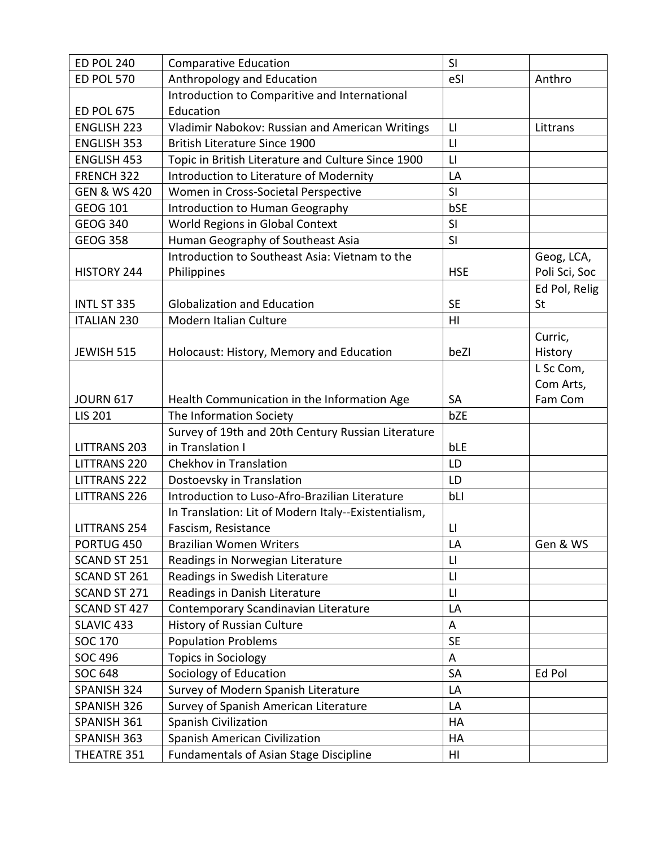| <b>ED POL 240</b>       | <b>Comparative Education</b>                         | SI                     |               |
|-------------------------|------------------------------------------------------|------------------------|---------------|
| <b>ED POL 570</b>       | Anthropology and Education                           | eSI                    | Anthro        |
|                         | Introduction to Comparitive and International        |                        |               |
| <b>ED POL 675</b>       | Education                                            |                        |               |
| <b>ENGLISH 223</b>      | Vladimir Nabokov: Russian and American Writings      | $\Box$                 | Littrans      |
| <b>ENGLISH 353</b>      | <b>British Literature Since 1900</b>                 | $\mathsf{L}\mathsf{I}$ |               |
| <b>ENGLISH 453</b>      | Topic in British Literature and Culture Since 1900   | $\mathsf{L}\mathsf{I}$ |               |
| FRENCH 322              | Introduction to Literature of Modernity              | LA                     |               |
| <b>GEN &amp; WS 420</b> | Women in Cross-Societal Perspective                  | SI                     |               |
| <b>GEOG 101</b>         | Introduction to Human Geography                      | bSE                    |               |
| <b>GEOG 340</b>         | World Regions in Global Context                      | SI                     |               |
| <b>GEOG 358</b>         | Human Geography of Southeast Asia                    | SI                     |               |
|                         | Introduction to Southeast Asia: Vietnam to the       |                        | Geog, LCA,    |
| HISTORY 244             | Philippines                                          | <b>HSE</b>             | Poli Sci, Soc |
|                         |                                                      |                        | Ed Pol, Relig |
| INTL ST 335             | <b>Globalization and Education</b>                   | <b>SE</b>              | St            |
| <b>ITALIAN 230</b>      | Modern Italian Culture                               | H1                     |               |
|                         |                                                      |                        | Curric,       |
| JEWISH 515              | Holocaust: History, Memory and Education             | beZI                   | History       |
|                         |                                                      |                        | L Sc Com,     |
|                         |                                                      |                        | Com Arts,     |
| <b>JOURN 617</b>        | Health Communication in the Information Age          | <b>SA</b>              | Fam Com       |
| <b>LIS 201</b>          | The Information Society                              | bZE                    |               |
|                         | Survey of 19th and 20th Century Russian Literature   |                        |               |
| <b>LITTRANS 203</b>     | in Translation I                                     | bLE                    |               |
| <b>LITTRANS 220</b>     | Chekhov in Translation                               | LD                     |               |
| <b>LITTRANS 222</b>     | Dostoevsky in Translation                            | LD                     |               |
| <b>LITTRANS 226</b>     | Introduction to Luso-Afro-Brazilian Literature       | bLI                    |               |
|                         | In Translation: Lit of Modern Italy--Existentialism, |                        |               |
| <b>LITTRANS 254</b>     | Fascism, Resistance                                  | Ц                      |               |
| PORTUG 450              | <b>Brazilian Women Writers</b>                       | LA                     | Gen & WS      |
| SCAND ST 251            | Readings in Norwegian Literature                     | $\mathsf{L}$           |               |
| SCAND ST 261            | Readings in Swedish Literature                       | $\mathsf{L}\mathsf{I}$ |               |
| SCAND ST 271            | Readings in Danish Literature                        | $\mathsf{L}\mathsf{I}$ |               |
| SCAND ST 427            | Contemporary Scandinavian Literature                 | LA                     |               |
| SLAVIC 433              | History of Russian Culture                           | Α                      |               |
| <b>SOC 170</b>          | <b>Population Problems</b>                           | <b>SE</b>              |               |
| SOC 496                 | <b>Topics in Sociology</b>                           | A                      |               |
| <b>SOC 648</b>          | Sociology of Education                               | SA                     | Ed Pol        |
| SPANISH 324             | Survey of Modern Spanish Literature                  | LA                     |               |
| SPANISH 326             | Survey of Spanish American Literature                | LA                     |               |
| SPANISH 361             | Spanish Civilization                                 | HA                     |               |
| SPANISH 363             | Spanish American Civilization                        | HA                     |               |
| THEATRE 351             | <b>Fundamentals of Asian Stage Discipline</b>        | HI                     |               |